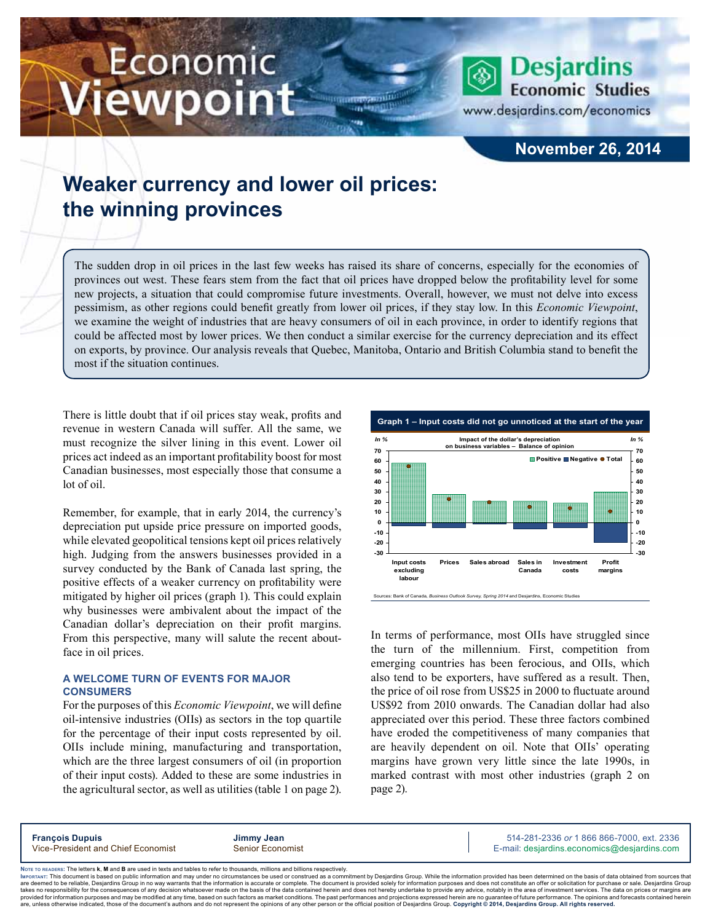# Economic iewpoint



www.desjardins.com/economics

### **November 26, 2014**

## **Weaker currency and lower oil prices: the winning provinces**

The sudden drop in oil prices in the last few weeks has raised its share of concerns, especially for the economies of provinces out west. These fears stem from the fact that oil prices have dropped below the profitability level for some new projects, a situation that could compromise future investments. Overall, however, we must not delve into excess pessimism, as other regions could benefit greatly from lower oil prices, if they stay low. In this *Economic Viewpoint*, we examine the weight of industries that are heavy consumers of oil in each province, in order to identify regions that could be affected most by lower prices. We then conduct a similar exercise for the currency depreciation and its effect on exports, by province. Our analysis reveals that Quebec, Manitoba, Ontario and British Columbia stand to benefit the most if the situation continues.

m

There is little doubt that if oil prices stay weak, profits and revenue in western Canada will suffer. All the same, we must recognize the silver lining in this event. Lower oil prices act indeed as an important profitability boost for most Canadian businesses, most especially those that consume a lot of oil.

Remember, for example, that in early 2014, the currency's depreciation put upside price pressure on imported goods, while elevated geopolitical tensions kept oil prices relatively high. Judging from the answers businesses provided in a survey conducted by the Bank of Canada last spring, the positive effects of a weaker currency on profitability were mitigated by higher oil prices (graph 1). This could explain why businesses were ambivalent about the impact of the Canadian dollar's depreciation on their profit margins. From this perspective, many will salute the recent aboutface in oil prices.

#### **A welcome turn of events for major consumers**

For the purposes of this *Economic Viewpoint*, we will define oil-intensive industries (OIIs) as sectors in the top quartile for the percentage of their input costs represented by oil. OIIs include mining, manufacturing and transportation, which are the three largest consumers of oil (in proportion of their input costs). Added to these are some industries in the agricultural sector, as well as utilities (table 1 on page 2).



In terms of performance, most OIIs have struggled since the turn of the millennium. First, competition from emerging countries has been ferocious, and OIIs, which also tend to be exporters, have suffered as a result. Then, the price of oil rose from US\$25 in 2000 to fluctuate around US\$92 from 2010 onwards. The Canadian dollar had also appreciated over this period. These three factors combined have eroded the competitiveness of many companies that are heavily dependent on oil. Note that OIIs' operating margins have grown very little since the late 1990s, in marked contrast with most other industries (graph 2 on page 2).

**François Dupuis Jimmy Jean** 514-281-2336 *or* 1 866 866-7000, ext. 2336 Vice-President and Chief Economist Senior Economist Senior Economist E-mail: desjardins.economics@desjardins.com

Noте то келоекs: The letters **k, M** and **B** are used in texts and tables to refer to thousands, millions and billions respectively.<br>Імроктлит: This document is based on public information and may under no circumstances be are deemed to be reliable. Desiardins Group in no way warrants that the information is accurate or complete. The document is provided solely for information purposes and does not constitute an offer or solicitation for pur takes no responsibility for the consequences of any decision whatsoever made on the basis of the data contained herein and does not hereby undertake to provide any advice, notably in the area of investment services. The da .<br>are, unless otherwise indicated, those of the document's authors and do not represent the opinions of any other person or the official position of Desjardins Group. Copyright © 2014, Desjardins Group. All rights reserve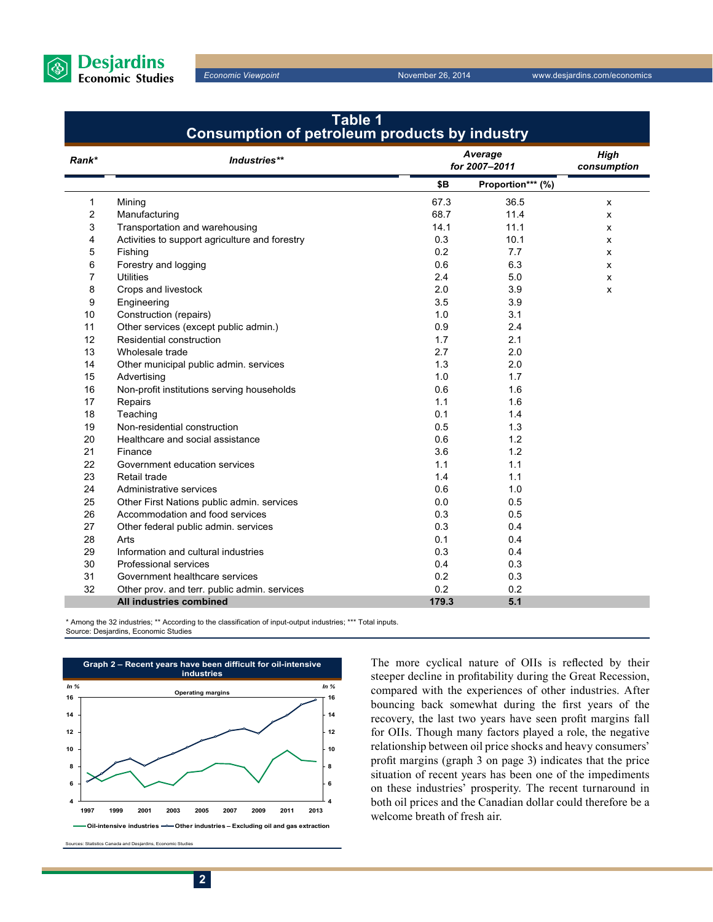

f.

*Economic Viewpoint* November 26, 2014 www.desjardins.com/economics

| Table 1<br>Consumption of petroleum products by industry |                                                |       |                          |   |  |  |  |  |
|----------------------------------------------------------|------------------------------------------------|-------|--------------------------|---|--|--|--|--|
| Rank*                                                    | Industries**                                   |       | Average<br>for 2007-2011 |   |  |  |  |  |
|                                                          |                                                | \$B   | Proportion*** (%)        |   |  |  |  |  |
| 1                                                        | Mining                                         | 67.3  | 36.5                     | x |  |  |  |  |
| 2                                                        | Manufacturing                                  | 68.7  | 11.4                     | x |  |  |  |  |
| 3                                                        | Transportation and warehousing                 | 14.1  | 11.1                     | x |  |  |  |  |
| 4                                                        | Activities to support agriculture and forestry | 0.3   | 10.1                     | x |  |  |  |  |
| 5                                                        | Fishing                                        | 0.2   | 7.7                      | x |  |  |  |  |
| 6                                                        | Forestry and logging                           | 0.6   | 6.3                      | X |  |  |  |  |
| 7                                                        | <b>Utilities</b>                               | 2.4   | 5.0                      | x |  |  |  |  |
| 8                                                        | Crops and livestock                            | 2.0   | 3.9                      | x |  |  |  |  |
| 9                                                        | Engineering                                    | 3.5   | 3.9                      |   |  |  |  |  |
| 10                                                       | Construction (repairs)                         | 1.0   | 3.1                      |   |  |  |  |  |
| 11                                                       | Other services (except public admin.)          | 0.9   | 2.4                      |   |  |  |  |  |
| 12                                                       | Residential construction                       | 1.7   | 2.1                      |   |  |  |  |  |
| 13                                                       | Wholesale trade                                | 2.7   | 2.0                      |   |  |  |  |  |
| 14                                                       | Other municipal public admin. services         | 1.3   | 2.0                      |   |  |  |  |  |
| 15                                                       | Advertising                                    | 1.0   | 1.7                      |   |  |  |  |  |
| 16                                                       | Non-profit institutions serving households     | 0.6   | 1.6                      |   |  |  |  |  |
| 17                                                       | Repairs                                        | 1.1   | 1.6                      |   |  |  |  |  |
| 18                                                       | Teaching                                       | 0.1   | 1.4                      |   |  |  |  |  |
| 19                                                       | Non-residential construction                   | 0.5   | 1.3                      |   |  |  |  |  |
| 20                                                       | Healthcare and social assistance               | 0.6   | 1.2                      |   |  |  |  |  |
| 21                                                       | Finance                                        | 3.6   | 1.2                      |   |  |  |  |  |
| 22                                                       | Government education services                  | 1.1   | 1.1                      |   |  |  |  |  |
| 23                                                       | Retail trade                                   | 1.4   | 1.1                      |   |  |  |  |  |
| 24                                                       | Administrative services                        | 0.6   | 1.0                      |   |  |  |  |  |
| 25                                                       | Other First Nations public admin. services     | 0.0   | 0.5                      |   |  |  |  |  |
| 26                                                       | Accommodation and food services                | 0.3   | 0.5                      |   |  |  |  |  |
| 27                                                       | Other federal public admin. services           | 0.3   | 0.4                      |   |  |  |  |  |
| 28                                                       | Arts                                           | 0.1   | 0.4                      |   |  |  |  |  |
| 29                                                       | Information and cultural industries            | 0.3   | 0.4                      |   |  |  |  |  |
| 30                                                       | <b>Professional services</b>                   | 0.4   | 0.3                      |   |  |  |  |  |
| 31                                                       | Government healthcare services                 | 0.2   | 0.3                      |   |  |  |  |  |
| 32                                                       | Other prov. and terr. public admin. services   | 0.2   | 0.2                      |   |  |  |  |  |
|                                                          | All industries combined                        | 179.3 | 5.1                      |   |  |  |  |  |

\* Among the 32 industries; \*\* According to the classification of input-output industries; \*\*\* Total inputs. Source: Desjardins, Economic Studies



The more cyclical nature of OIIs is reflected by their steeper decline in profitability during the Great Recession, compared with the experiences of other industries. After bouncing back somewhat during the first years of the recovery, the last two years have seen profit margins fall for OIIs. Though many factors played a role, the negative relationship between oil price shocks and heavy consumers' profit margins (graph 3 on page 3) indicates that the price situation of recent years has been one of the impediments on these industries' prosperity. The recent turnaround in both oil prices and the Canadian dollar could therefore be a welcome breath of fresh air.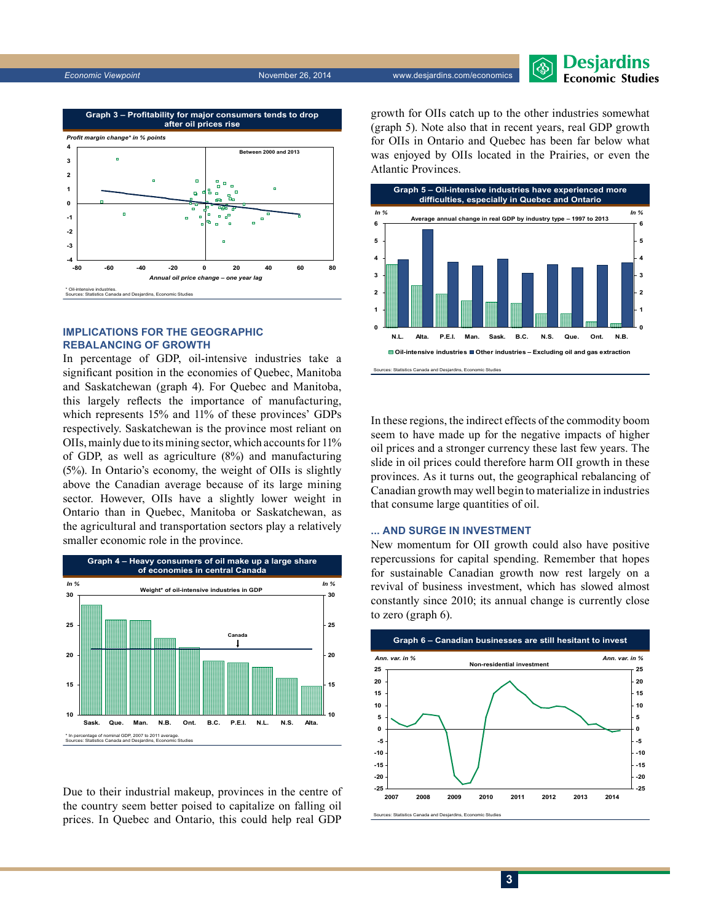



#### **Implications for the geographic rebalancing of growth**

In percentage of GDP, oil-intensive industries take a significant position in the economies of Quebec, Manitoba and Saskatchewan (graph 4). For Quebec and Manitoba, this largely reflects the importance of manufacturing, which represents 15% and 11% of these provinces' GDPs respectively. Saskatchewan is the province most reliant on OIIs, mainly due to its mining sector, which accounts for 11% of GDP, as well as agriculture (8%) and manufacturing (5%). In Ontario's economy, the weight of OIIs is slightly above the Canadian average because of its large mining sector. However, OIIs have a slightly lower weight in Ontario than in Quebec, Manitoba or Saskatchewan, as the agricultural and transportation sectors play a relatively smaller economic role in the province.



Due to their industrial makeup, provinces in the centre of the country seem better poised to capitalize on falling oil prices. In Quebec and Ontario, this could help real GDP growth for OIIs catch up to the other industries somewhat (graph 5). Note also that in recent years, real GDP growth for OIIs in Ontario and Quebec has been far below what was enjoyed by OIIs located in the Prairies, or even the Atlantic Provinces.



In these regions, the indirect effects of the commodity boom seem to have made up for the negative impacts of higher oil prices and a stronger currency these last few years. The slide in oil prices could therefore harm OII growth in these provinces. As it turns out, the geographical rebalancing of Canadian growth may well begin to materialize in industries that consume large quantities of oil.

#### **... and surge in investment**

New momentum for OII growth could also have positive repercussions for capital spending. Remember that hopes for sustainable Canadian growth now rest largely on a revival of business investment, which has slowed almost constantly since 2010; its annual change is currently close to zero (graph 6).

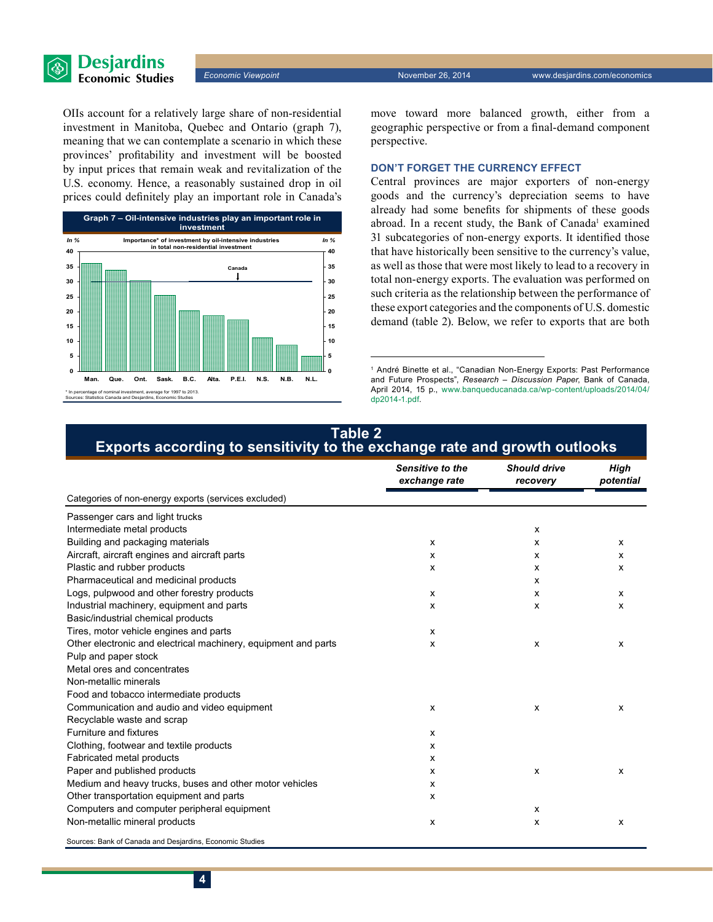

OIIs account for a relatively large share of non-residential investment in Manitoba, Quebec and Ontario (graph 7), meaning that we can contemplate a scenario in which these provinces' profitability and investment will be boosted by input prices that remain weak and revitalization of the U.S. economy. Hence, a reasonably sustained drop in oil prices could definitely play an important role in Canada's



move toward more balanced growth, either from a geographic perspective or from a final-demand component perspective.

#### **Don't forget the currency effect**

Central provinces are major exporters of non-energy goods and the currency's depreciation seems to have already had some benefits for shipments of these goods abroad. In a recent study, the Bank of Canada<sup>1</sup> examined 31 subcategories of non‑energy exports. It identified those that have historically been sensitive to the currency's value, as well as those that were most likely to lead to a recovery in total non-energy exports. The evaluation was performed on such criteria as the relationship between the performance of these export categories and the components of U.S. domestic demand (table 2). Below, we refer to exports that are both

#### **Table 2 Exports according to sensitivity to the exchange rate and growth outlooks**

|                                                                | Sensitive to the<br>exchange rate | <b>Should drive</b><br>recovery | High<br>potential         |
|----------------------------------------------------------------|-----------------------------------|---------------------------------|---------------------------|
| Categories of non-energy exports (services excluded)           |                                   |                                 |                           |
| Passenger cars and light trucks                                |                                   |                                 |                           |
| Intermediate metal products                                    |                                   | $\boldsymbol{\mathsf{x}}$       |                           |
| Building and packaging materials                               | x                                 | x                               | X                         |
| Aircraft, aircraft engines and aircraft parts                  | x                                 | x                               | x                         |
| Plastic and rubber products                                    | x                                 | x                               | x                         |
| Pharmaceutical and medicinal products                          |                                   | x                               |                           |
| Logs, pulpwood and other forestry products                     | x                                 | x                               | X                         |
| Industrial machinery, equipment and parts                      | x                                 | x                               | x                         |
| Basic/industrial chemical products                             |                                   |                                 |                           |
| Tires, motor vehicle engines and parts                         | $\mathsf{x}$                      |                                 |                           |
| Other electronic and electrical machinery, equipment and parts | x                                 | X                               | $\boldsymbol{\mathsf{x}}$ |
| Pulp and paper stock                                           |                                   |                                 |                           |
| Metal ores and concentrates                                    |                                   |                                 |                           |
| Non-metallic minerals                                          |                                   |                                 |                           |
| Food and tobacco intermediate products                         |                                   |                                 |                           |
| Communication and audio and video equipment                    | x                                 | x                               | x                         |
| Recyclable waste and scrap                                     |                                   |                                 |                           |
| Furniture and fixtures                                         | x                                 |                                 |                           |
| Clothing, footwear and textile products                        | x                                 |                                 |                           |
| Fabricated metal products                                      | x                                 |                                 |                           |
| Paper and published products                                   | x                                 | X                               | X                         |
| Medium and heavy trucks, buses and other motor vehicles        | x                                 |                                 |                           |
| Other transportation equipment and parts                       | x                                 |                                 |                           |
| Computers and computer peripheral equipment                    |                                   | $\boldsymbol{\mathsf{x}}$       |                           |
| Non-metallic mineral products                                  | x                                 | x                               | X                         |
| Sources: Bank of Canada and Desjardins, Economic Studies       |                                   |                                 |                           |

<sup>1</sup> André Binette et al., "Canadian Non-Energy Exports: Past Performance and Future Prospects", *Research – Discussion Paper*, Bank of Canada, April 2014, 15 p., [www.banqueducanada.ca/wp-content/uploads/2014/04/](http://www.banqueducanada.ca/wp-content/uploads/2014/04/dp2014-1.pdf) [dp2014-1.pdf](http://www.banqueducanada.ca/wp-content/uploads/2014/04/dp2014-1.pdf).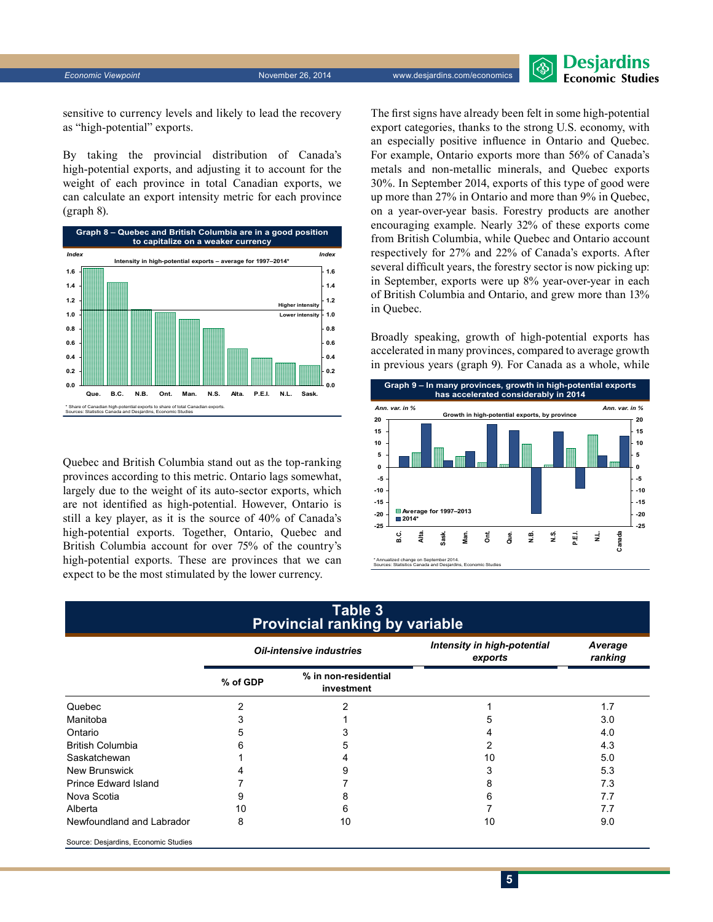**Desjardins Economic Studies** 

sensitive to currency levels and likely to lead the recovery as "high-potential" exports.

By taking the provincial distribution of Canada's high-potential exports, and adjusting it to account for the weight of each province in total Canadian exports, we can calculate an export intensity metric for each province (graph 8).



Quebec and British Columbia stand out as the top-ranking provinces according to this metric. Ontario lags somewhat, largely due to the weight of its auto-sector exports, which are not identified as high-potential. However, Ontario is still a key player, as it is the source of 40% of Canada's high-potential exports. Together, Ontario, Quebec and British Columbia account for over 75% of the country's high-potential exports. These are provinces that we can expect to be the most stimulated by the lower currency.

The first signs have already been felt in some high-potential export categories, thanks to the strong U.S. economy, with an especially positive influence in Ontario and Quebec. For example, Ontario exports more than 56% of Canada's metals and non-metallic minerals, and Quebec exports 30%. In September 2014, exports of this type of good were up more than 27% in Ontario and more than 9% in Quebec, on a year-over-year basis. Forestry products are another encouraging example. Nearly 32% of these exports come from British Columbia, while Quebec and Ontario account respectively for 27% and 22% of Canada's exports. After several difficult years, the forestry sector is now picking up: in September, exports were up 8% year-over-year in each of British Columbia and Ontario, and grew more than 13% in Quebec.

Broadly speaking, growth of high-potential exports has accelerated in many provinces, compared to average growth in previous years (graph 9). For Canada as a whole, while



| Table 3<br><b>Provincial ranking by variable</b> |                                 |                                    |                                        |                    |  |  |  |  |
|--------------------------------------------------|---------------------------------|------------------------------------|----------------------------------------|--------------------|--|--|--|--|
|                                                  | <b>Oil-intensive industries</b> |                                    | Intensity in high-potential<br>exports | Average<br>ranking |  |  |  |  |
|                                                  | % of GDP                        | % in non-residential<br>investment |                                        |                    |  |  |  |  |
| Quebec                                           | $\overline{2}$                  |                                    |                                        | 1.7                |  |  |  |  |
| Manitoba                                         | 3                               |                                    | :5                                     | 3.0                |  |  |  |  |
| Ontario                                          | 5                               |                                    |                                        | 4.0                |  |  |  |  |
| <b>British Columbia</b>                          | 6                               |                                    | 2                                      | 4.3                |  |  |  |  |
| Saskatchewan                                     |                                 |                                    | 10                                     | 5.0                |  |  |  |  |
| <b>New Brunswick</b>                             |                                 |                                    | 3                                      | 5.3                |  |  |  |  |
| Prince Edward Island                             |                                 |                                    | 8                                      | 7.3                |  |  |  |  |
| Nova Scotia                                      | 9                               |                                    | 6                                      | 7.7                |  |  |  |  |
| Alberta                                          | 10                              | 6                                  |                                        | 7.7                |  |  |  |  |
| Newfoundland and Labrador                        | 8                               | 10                                 | 10                                     | 9.0                |  |  |  |  |
| Source: Desjardins, Economic Studies             |                                 |                                    |                                        |                    |  |  |  |  |